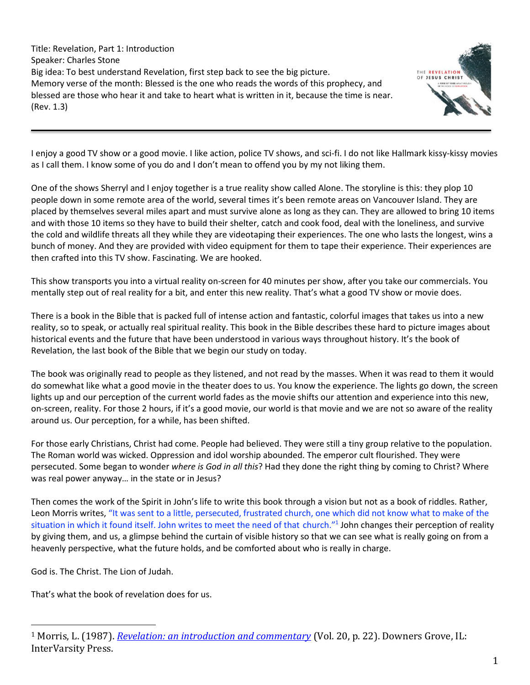Title: Revelation, Part 1: Introduction Speaker: Charles Stone Big idea: To best understand Revelation, first step back to see the big picture. Memory verse of the month: Blessed is the one who reads the words of this prophecy, and blessed are those who hear it and take to heart what is written in it, because the time is near. (Rev. 1.3)



I enjoy a good TV show or a good movie. I like action, police TV shows, and sci-fi. I do not like Hallmark kissy-kissy movies as I call them. I know some of you do and I don't mean to offend you by my not liking them.

One of the shows Sherryl and I enjoy together is a true reality show called Alone. The storyline is this: they plop 10 people down in some remote area of the world, several times it's been remote areas on Vancouver Island. They are placed by themselves several miles apart and must survive alone as long as they can. They are allowed to bring 10 items and with those 10 items so they have to build their shelter, catch and cook food, deal with the loneliness, and survive the cold and wildlife threats all they while they are videotaping their experiences. The one who lasts the longest, wins a bunch of money. And they are provided with video equipment for them to tape their experience. Their experiences are then crafted into this TV show. Fascinating. We are hooked.

This show transports you into a virtual reality on-screen for 40 minutes per show, after you take our commercials. You mentally step out of real reality for a bit, and enter this new reality. That's what a good TV show or movie does.

There is a book in the Bible that is packed full of intense action and fantastic, colorful images that takes us into a new reality, so to speak, or actually real spiritual reality. This book in the Bible describes these hard to picture images about historical events and the future that have been understood in various ways throughout history. It's the book of Revelation, the last book of the Bible that we begin our study on today.

The book was originally read to people as they listened, and not read by the masses. When it was read to them it would do somewhat like what a good movie in the theater does to us. You know the experience. The lights go down, the screen lights up and our perception of the current world fades as the movie shifts our attention and experience into this new, on-screen, reality. For those 2 hours, if it's a good movie, our world is that movie and we are not so aware of the reality around us. Our perception, for a while, has been shifted.

For those early Christians, Christ had come. People had believed. They were still a tiny group relative to the population. The Roman world was wicked. Oppression and idol worship abounded. The emperor cult flourished. They were persecuted. Some began to wonder *where is God in all this*? Had they done the right thing by coming to Christ? Where was real power anyway… in the state or in Jesus?

Then comes the work of the Spirit in John's life to write this book through a vision but not as a book of riddles. Rather, Leon Morris writes, "It was sent to a little, persecuted, frustrated church, one which did not know what to make of the situation in which it found itself. John writes to meet the need of that church."<sup>1</sup> John changes their perception of reality by giving them, and us, a glimpse behind the curtain of visible history so that we can see what is really going on from a heavenly perspective, what the future holds, and be comforted about who is really in charge.

God is. The Christ. The Lion of Judah.

That's what the book of revelation does for us.

<sup>1</sup> Morris, L. (1987). *[Revelation: an introduction and commentary](https://ref.ly/logosres/tntc87reus?ref=Page.p+22&off=2127&ctx=+solving+mysteries.+~It+was+sent+to+a+lit)* (Vol. 20, p. 22). Downers Grove, IL: InterVarsity Press.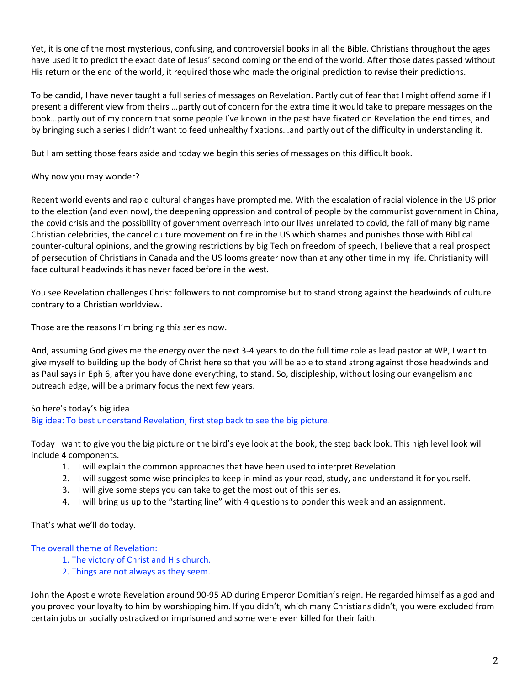Yet, it is one of the most mysterious, confusing, and controversial books in all the Bible. Christians throughout the ages have used it to predict the exact date of Jesus' second coming or the end of the world. After those dates passed without His return or the end of the world, it required those who made the original prediction to revise their predictions.

To be candid, I have never taught a full series of messages on Revelation. Partly out of fear that I might offend some if I present a different view from theirs …partly out of concern for the extra time it would take to prepare messages on the book…partly out of my concern that some people I've known in the past have fixated on Revelation the end times, and by bringing such a series I didn't want to feed unhealthy fixations…and partly out of the difficulty in understanding it.

But I am setting those fears aside and today we begin this series of messages on this difficult book.

## Why now you may wonder?

Recent world events and rapid cultural changes have prompted me. With the escalation of racial violence in the US prior to the election (and even now), the deepening oppression and control of people by the communist government in China, the covid crisis and the possibility of government overreach into our lives unrelated to covid, the fall of many big name Christian celebrities, the cancel culture movement on fire in the US which shames and punishes those with Biblical counter-cultural opinions, and the growing restrictions by big Tech on freedom of speech, I believe that a real prospect of persecution of Christians in Canada and the US looms greater now than at any other time in my life. Christianity will face cultural headwinds it has never faced before in the west.

You see Revelation challenges Christ followers to not compromise but to stand strong against the headwinds of culture contrary to a Christian worldview.

Those are the reasons I'm bringing this series now.

And, assuming God gives me the energy over the next 3-4 years to do the full time role as lead pastor at WP, I want to give myself to building up the body of Christ here so that you will be able to stand strong against those headwinds and as Paul says in Eph 6, after you have done everything, to stand. So, discipleship, without losing our evangelism and outreach edge, will be a primary focus the next few years.

## So here's today's big idea

Big idea: To best understand Revelation, first step back to see the big picture.

Today I want to give you the big picture or the bird's eye look at the book, the step back look. This high level look will include 4 components.

- 1. I will explain the common approaches that have been used to interpret Revelation.
- 2. I will suggest some wise principles to keep in mind as your read, study, and understand it for yourself.
- 3. I will give some steps you can take to get the most out of this series.
- 4. I will bring us up to the "starting line" with 4 questions to ponder this week and an assignment.

#### That's what we'll do today.

#### The overall theme of Revelation:

- 1. The victory of Christ and His church.
- 2. Things are not always as they seem.

John the Apostle wrote Revelation around 90-95 AD during Emperor Domitian's reign. He regarded himself as a god and you proved your loyalty to him by worshipping him. If you didn't, which many Christians didn't, you were excluded from certain jobs or socially ostracized or imprisoned and some were even killed for their faith.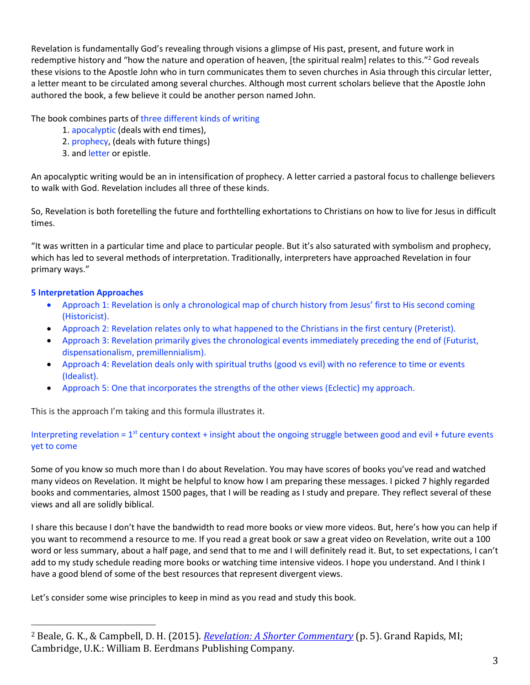Revelation is fundamentally God's revealing through visions a glimpse of His past, present, and future work in redemptive history and "how the nature and operation of heaven, [the spiritual realm] relates to this."<sup>2</sup> God reveals these visions to the Apostle John who in turn communicates them to seven churches in Asia through this circular letter, a letter meant to be circulated among several churches. Although most current scholars believe that the Apostle John authored the book, a few believe it could be another person named John.

## The book combines parts of three different kinds of writing

- 1. apocalyptic (deals with end times),
- 2. prophecy, (deals with future things)
- 3. and letter or epistle.

An apocalyptic writing would be an in intensification of prophecy. A letter carried a pastoral focus to challenge believers to walk with God. Revelation includes all three of these kinds.

So, Revelation is both foretelling the future and forthtelling exhortations to Christians on how to live for Jesus in difficult times.

"It was written in a particular time and place to particular people. But it's also saturated with symbolism and prophecy, which has led to several methods of interpretation. Traditionally, interpreters have approached Revelation in four primary ways."

## **5 Interpretation Approaches**

- Approach 1: Revelation is only a chronological map of church history from Jesus' first to His second coming (Historicist).
- Approach 2: Revelation relates only to what happened to the Christians in the first century (Preterist).
- Approach 3: Revelation primarily gives the chronological events immediately preceding the end of (Futurist, dispensationalism, premillennialism).
- Approach 4: Revelation deals only with spiritual truths (good vs evil) with no reference to time or events (Idealist).
- Approach 5: One that incorporates the strengths of the other views (Eclectic) my approach.

This is the approach I'm taking and this formula illustrates it.

Interpreting revelation =  $1<sup>st</sup>$  century context + insight about the ongoing struggle between good and evil + future events yet to come

Some of you know so much more than I do about Revelation. You may have scores of books you've read and watched many videos on Revelation. It might be helpful to know how I am preparing these messages. I picked 7 highly regarded books and commentaries, almost 1500 pages, that I will be reading as I study and prepare. They reflect several of these views and all are solidly biblical.

I share this because I don't have the bandwidth to read more books or view more videos. But, here's how you can help if you want to recommend a resource to me. If you read a great book or saw a great video on Revelation, write out a 100 word or less summary, about a half page, and send that to me and I will definitely read it. But, to set expectations, I can't add to my study schedule reading more books or watching time intensive videos. I hope you understand. And I think I have a good blend of some of the best resources that represent divergent views.

Let's consider some wise principles to keep in mind as you read and study this book.

<sup>2</sup> Beale, G. K., & Campbell, D. H. (2015). *[Revelation: A Shorter Commentary](https://ref.ly/logosres/rvltnshrtrcmm?ref=Page.p+5&off=2455&ctx=al+history%2c+and+how+~the+nature+and+opera)* (p. 5). Grand Rapids, MI; Cambridge, U.K.: William B. Eerdmans Publishing Company.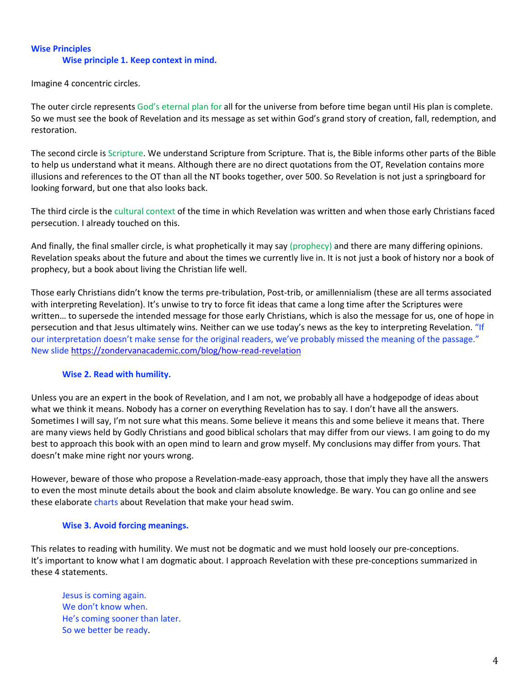## **Wise Principles Wise principle 1. Keep context in mind.**

Imagine 4 concentric circles.

The outer circle represents God's eternal plan for all for the universe from before time began until His plan is complete. So we must see the book of Revelation and its message as set within God's grand story of creation, fall, redemption, and restoration.

The second circle is Scripture. We understand Scripture from Scripture. That is, the Bible informs other parts of the Bible to help us understand what it means. Although there are no direct quotations from the OT, Revelation contains more illusions and references to the OT than all the NT books together, over 500. So Revelation is not just a springboard for looking forward, but one that also looks back.

The third circle is the cultural context of the time in which Revelation was written and when those early Christians faced persecution. I already touched on this.

And finally, the final smaller circle, is what prophetically it may say (prophecy) and there are many differing opinions. Revelation speaks about the future and about the times we currently live in. It is not just a book of history nor a book of prophecy, but a book about living the Christian life well.

Those early Christians didn't know the terms pre-tribulation, Post-trib, or amillennialism (these are all terms associated with interpreting Revelation). It's unwise to try to force fit ideas that came a long time after the Scriptures were written… to supersede the intended message for those early Christians, which is also the message for us, one of hope in persecution and that Jesus ultimately wins. Neither can we use today's news as the key to interpreting Revelation. "If our interpretation doesn't make sense for the original readers, we've probably missed the meaning of the passage." New slide<https://zondervanacademic.com/blog/how-read-revelation>

## **Wise 2. Read with humility.**

Unless you are an expert in the book of Revelation, and I am not, we probably all have a hodgepodge of ideas about what we think it means. Nobody has a corner on everything Revelation has to say. I don't have all the answers. Sometimes I will say, I'm not sure what this means. Some believe it means this and some believe it means that. There are many views held by Godly Christians and good biblical scholars that may differ from our views. I am going to do my best to approach this book with an open mind to learn and grow myself. My conclusions may differ from yours. That doesn't make mine right nor yours wrong.

However, beware of those who propose a Revelation-made-easy approach, those that imply they have all the answers to even the most minute details about the book and claim absolute knowledge. Be wary. You can go online and see these elaborate charts about Revelation that make your head swim.

#### **Wise 3. Avoid forcing meanings.**

This relates to reading with humility. We must not be dogmatic and we must hold loosely our pre-conceptions. It's important to know what I am dogmatic about. I approach Revelation with these pre-conceptions summarized in these 4 statements.

Jesus is coming again. We don't know when. He's coming sooner than later. So we better be ready.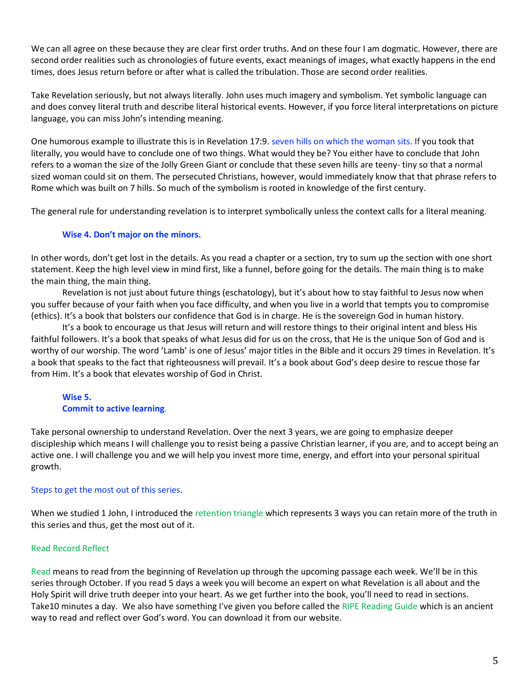We can all agree on these because they are clear first order truths. And on these four I am dogmatic. However, there are second order realities such as chronologies of future events, exact meanings of images, what exactly happens in the end times, does Jesus return before or after what is called the tribulation. Those are second order realities.

Take Revelation seriously, but not always literally. John uses much imagery and symbolism. Yet symbolic language can and does convey literal truth and describe literal historical events. However, if you force literal interpretations on picture language, you can miss John's intending meaning.

One humorous example to illustrate this is in Revelation 17:9. seven hills on which the woman sits. If you took that literally, you would have to conclude one of two things. What would they be? You either have to conclude that John refers to a woman the size of the Jolly Green Giant or conclude that these seven hills are teeny- tiny so that a normal sized woman could sit on them. The persecuted Christians, however, would immediately know that that phrase refers to Rome which was built on 7 hills. So much of the symbolism is rooted in knowledge of the first century.

The general rule for understanding revelation is to interpret symbolically unless the context calls for a literal meaning.

### **Wise 4. Don't major on the minors.**

In other words, don't get lost in the details. As you read a chapter or a section, try to sum up the section with one short statement. Keep the high level view in mind first, like a funnel, before going for the details. The main thing is to make the main thing, the main thing.

Revelation is not just about future things (eschatology), but it's about how to stay faithful to Jesus now when you suffer because of your faith when you face difficulty, and when you live in a world that tempts you to compromise (ethics). It's a book that bolsters our confidence that God is in charge. He is the sovereign God in human history.

It's a book to encourage us that Jesus will return and will restore things to their original intent and bless His faithful followers. It's a book that speaks of what Jesus did for us on the cross, that He is the unique Son of God and is worthy of our worship. The word 'Lamb' is one of Jesus' major titles in the Bible and it occurs 29 times in Revelation. It's a book that speaks to the fact that righteousness will prevail. It's a book about God's deep desire to rescue those far from Him. It's a book that elevates worship of God in Christ.

# **Wise 5. Commit to active learning**.

Take personal ownership to understand Revelation. Over the next 3 years, we are going to emphasize deeper discipleship which means I will challenge you to resist being a passive Christian learner, if you are, and to accept being an active one. I will challenge you and we will help you invest more time, energy, and effort into your personal spiritual growth.

#### Steps to get the most out of this series.

When we studied 1 John, I introduced the retention triangle which represents 3 ways you can retain more of the truth in this series and thus, get the most out of it.

## Read Record Reflect

Read means to read from the beginning of Revelation up through the upcoming passage each week. We'll be in this series through October. If you read 5 days a week you will become an expert on what Revelation is all about and the Holy Spirit will drive truth deeper into your heart. As we get further into the book, you'll need to read in sections. Take10 minutes a day. We also have something I've given you before called the RIPE Reading Guide which is an ancient way to read and reflect over God's word. You can download it from our website.